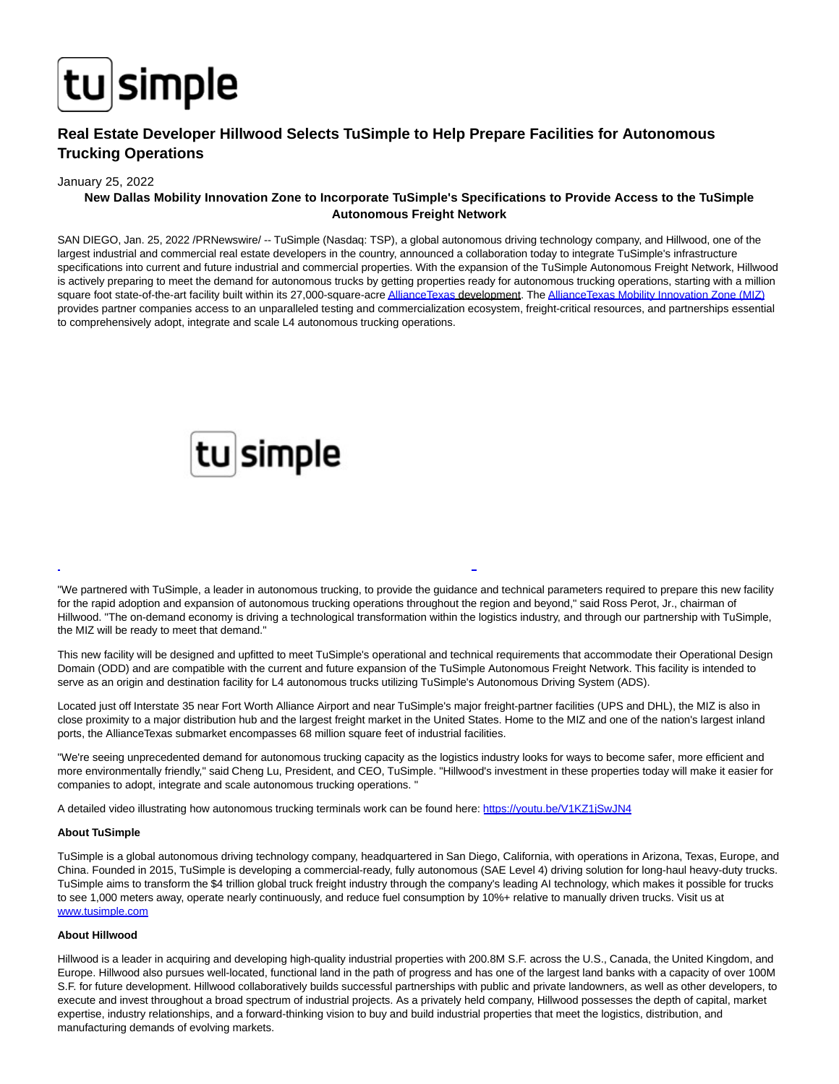

# **Real Estate Developer Hillwood Selects TuSimple to Help Prepare Facilities for Autonomous Trucking Operations**

### January 25, 2022

# **New Dallas Mobility Innovation Zone to Incorporate TuSimple's Specifications to Provide Access to the TuSimple Autonomous Freight Network**

SAN DIEGO, Jan. 25, 2022 /PRNewswire/ -- TuSimple (Nasdaq: TSP), a global autonomous driving technology company, and Hillwood, one of the largest industrial and commercial real estate developers in the country, announced a collaboration today to integrate TuSimple's infrastructure specifications into current and future industrial and commercial properties. With the expansion of the TuSimple Autonomous Freight Network, Hillwood is actively preparing to meet the demand for autonomous trucks by getting properties ready for autonomous trucking operations, starting with a million square foot state-of-the-art facility built within its 27,000-square-acr[e AllianceTexas d](https://c212.net/c/link/?t=0&l=en&o=3421050-1&h=3636485111&u=https%3A%2F%2Fwww.alliancetexasmiz.com%2F&a=AllianceTexas)evelopment. Th[e AllianceTexas Mobility Innovation Zone \(MIZ\)](https://c212.net/c/link/?t=0&l=en&o=3421050-1&h=2323619988&u=https%3A%2F%2Fwww.alliancetexasmiz.com%2F&a=AllianceTexas+Mobility+Innovation+Zone+(MIZ)) provides partner companies access to an unparalleled testing and commercialization ecosystem, freight-critical resources, and partnerships essential to comprehensively adopt, integrate and scale L4 autonomous trucking operations.



"We partnered with TuSimple, a leader in autonomous trucking, to provide the guidance and technical parameters required to prepare this new facility for the rapid adoption and expansion of autonomous trucking operations throughout the region and beyond," said Ross Perot, Jr., chairman of Hillwood. "The on-demand economy is driving a technological transformation within the logistics industry, and through our partnership with TuSimple, the MIZ will be ready to meet that demand."

L

This new facility will be designed and upfitted to meet TuSimple's operational and technical requirements that accommodate their Operational Design Domain (ODD) and are compatible with the current and future expansion of the TuSimple Autonomous Freight Network. This facility is intended to serve as an origin and destination facility for L4 autonomous trucks utilizing TuSimple's Autonomous Driving System (ADS).

Located just off Interstate 35 near Fort Worth Alliance Airport and near TuSimple's major freight-partner facilities (UPS and DHL), the MIZ is also in close proximity to a major distribution hub and the largest freight market in the United States. Home to the MIZ and one of the nation's largest inland ports, the AllianceTexas submarket encompasses 68 million square feet of industrial facilities.

"We're seeing unprecedented demand for autonomous trucking capacity as the logistics industry looks for ways to become safer, more efficient and more environmentally friendly," said Cheng Lu, President, and CEO, TuSimple. "Hillwood's investment in these properties today will make it easier for companies to adopt, integrate and scale autonomous trucking operations. "

A detailed video illustrating how autonomous trucking terminals work can be found here: [https://youtu.be/V1KZ1jSwJN4](https://c212.net/c/link/?t=0&l=en&o=3421050-1&h=4086691844&u=https%3A%2F%2Fyoutu.be%2FV1KZ1jSwJN4&a=https%3A%2F%2Fyoutu.be%2FV1KZ1jSwJN4)

#### **About TuSimple**

TuSimple is a global autonomous driving technology company, headquartered in San Diego, California, with operations in Arizona, Texas, Europe, and China. Founded in 2015, TuSimple is developing a commercial-ready, fully autonomous (SAE Level 4) driving solution for long-haul heavy-duty trucks. TuSimple aims to transform the \$4 trillion global truck freight industry through the company's leading AI technology, which makes it possible for trucks to see 1,000 meters away, operate nearly continuously, and reduce fuel consumption by 10%+ relative to manually driven trucks. Visit us at [www.tusimple.com](https://c212.net/c/link/?t=0&l=en&o=3421050-1&h=1591886527&u=http%3A%2F%2Fwww.tusimple.com%2F&a=www.tusimple.com)

#### **About Hillwood**

Hillwood is a leader in acquiring and developing high-quality industrial properties with 200.8M S.F. across the U.S., Canada, the United Kingdom, and Europe. Hillwood also pursues well-located, functional land in the path of progress and has one of the largest land banks with a capacity of over 100M S.F. for future development. Hillwood collaboratively builds successful partnerships with public and private landowners, as well as other developers, to execute and invest throughout a broad spectrum of industrial projects. As a privately held company, Hillwood possesses the depth of capital, market expertise, industry relationships, and a forward-thinking vision to buy and build industrial properties that meet the logistics, distribution, and manufacturing demands of evolving markets.